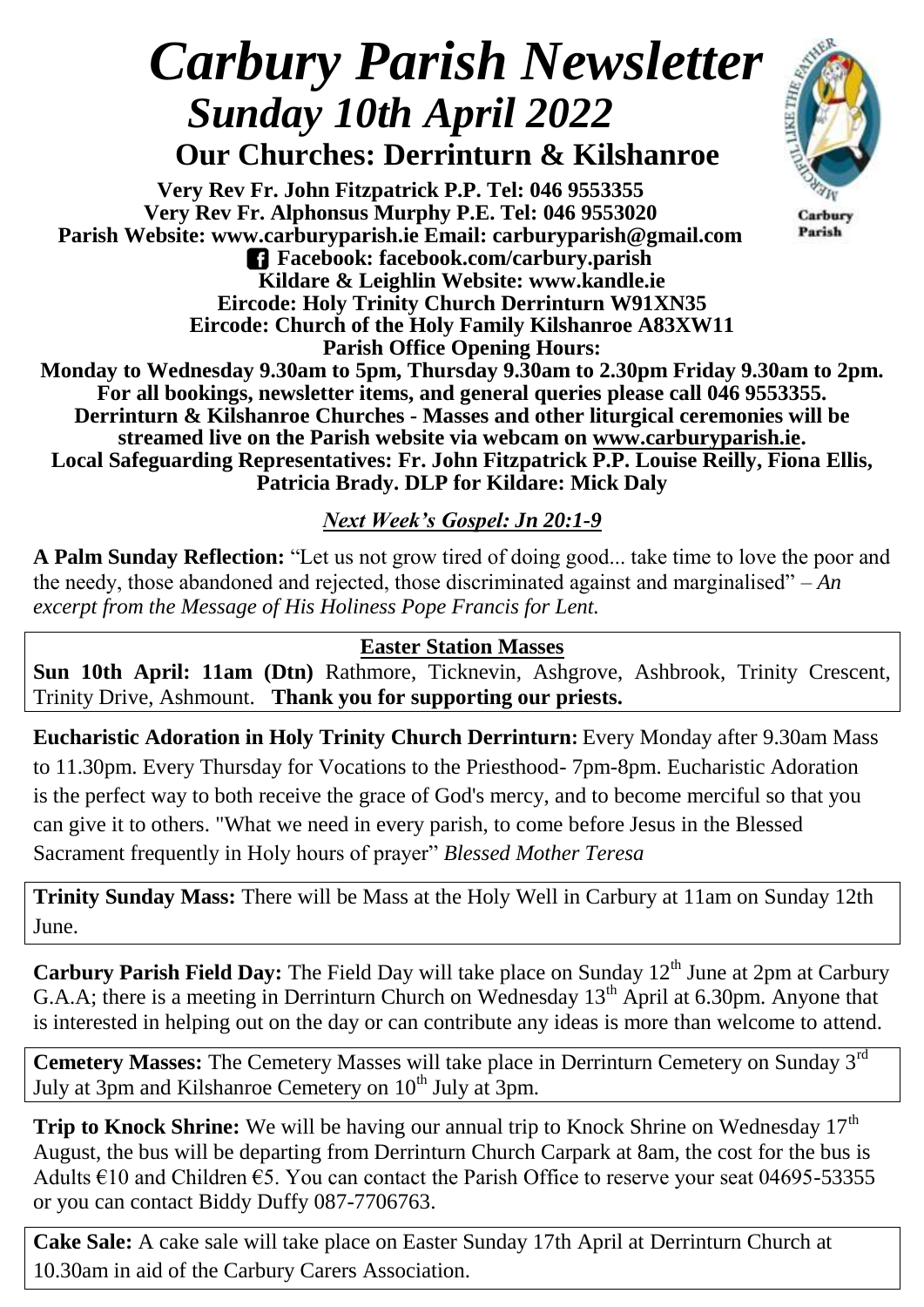# *Carbury Parish Newsletter Sunday 10th April 2022*

 **Our Churches: Derrinturn & Kilshanroe**

**Very Rev Fr. John Fitzpatrick P.P. Tel: 046 9553355 Very Rev Fr. Alphonsus Murphy P.E. Tel: 046 9553020 Parish Website: www.carburyparish.ie Email: carburyparish@gmail.com Facebook: facebook.com/carbury.parish Kildare & Leighlin Website: www.kandle.ie Eircode: Holy Trinity Church Derrinturn W91XN35 Eircode: Church of the Holy Family Kilshanroe A83XW11**



Carbury Parish

**Parish Office Opening Hours: Monday to Wednesday 9.30am to 5pm, Thursday 9.30am to 2.30pm Friday 9.30am to 2pm. For all bookings, newsletter items, and general queries please call 046 9553355. Derrinturn & Kilshanroe Churches - Masses and other liturgical ceremonies will be streamed live on the Parish website via webcam on [www.carburyparish.ie.](http://www.carburyparish.ie/) Local Safeguarding Representatives: Fr. John Fitzpatrick P.P. Louise Reilly, Fiona Ellis, Patricia Brady. DLP for Kildare: Mick Daly**

## *Next Week's Gospel: Jn 20:1-9*

**A Palm Sunday Reflection:** "Let us not grow tired of doing good... take time to love the poor and the needy, those abandoned and rejected, those discriminated against and marginalised" – *An excerpt from the Message of His Holiness Pope Francis for Lent.*

### **Easter Station Masses**

**Sun 10th April: 11am (Dtn)** Rathmore, Ticknevin, Ashgrove, Ashbrook, Trinity Crescent, Trinity Drive, Ashmount. **Thank you for supporting our priests.**

**Eucharistic Adoration in Holy Trinity Church Derrinturn:** Every Monday after 9.30am Mass to 11.30pm. Every Thursday for Vocations to the Priesthood- 7pm-8pm. Eucharistic Adoration is the perfect way to both receive the grace of God's mercy, and to become merciful so that you can give it to others. "What we need in every parish, to come before Jesus in the Blessed Sacrament frequently in Holy hours of prayer" *Blessed Mother Teresa*

**Trinity Sunday Mass:** There will be Mass at the Holy Well in Carbury at 11am on Sunday 12th June.

**Carbury Parish Field Day:** The Field Day will take place on Sunday 12<sup>th</sup> June at 2pm at Carbury G.A.A; there is a meeting in Derrinturn Church on Wednesday  $13<sup>th</sup>$  April at 6.30pm. Anyone that is interested in helping out on the day or can contribute any ideas is more than welcome to attend.

**Cemetery Masses:** The Cemetery Masses will take place in Derrinturn Cemetery on Sunday 3rd July at 3pm and Kilshanroe Cemetery on  $10<sup>th</sup>$  July at 3pm.

**Trip to Knock Shrine:** We will be having our annual trip to Knock Shrine on Wednesday 17<sup>th</sup> August, the bus will be departing from Derrinturn Church Carpark at 8am, the cost for the bus is Adults  $\epsilon$ 10 and Children  $\epsilon$ 5. You can contact the Parish Office to reserve your seat 04695-53355 or you can contact Biddy Duffy 087-7706763.

**Cake Sale:** A cake sale will take place on Easter Sunday 17th April at Derrinturn Church at 10.30am in aid of the Carbury Carers Association.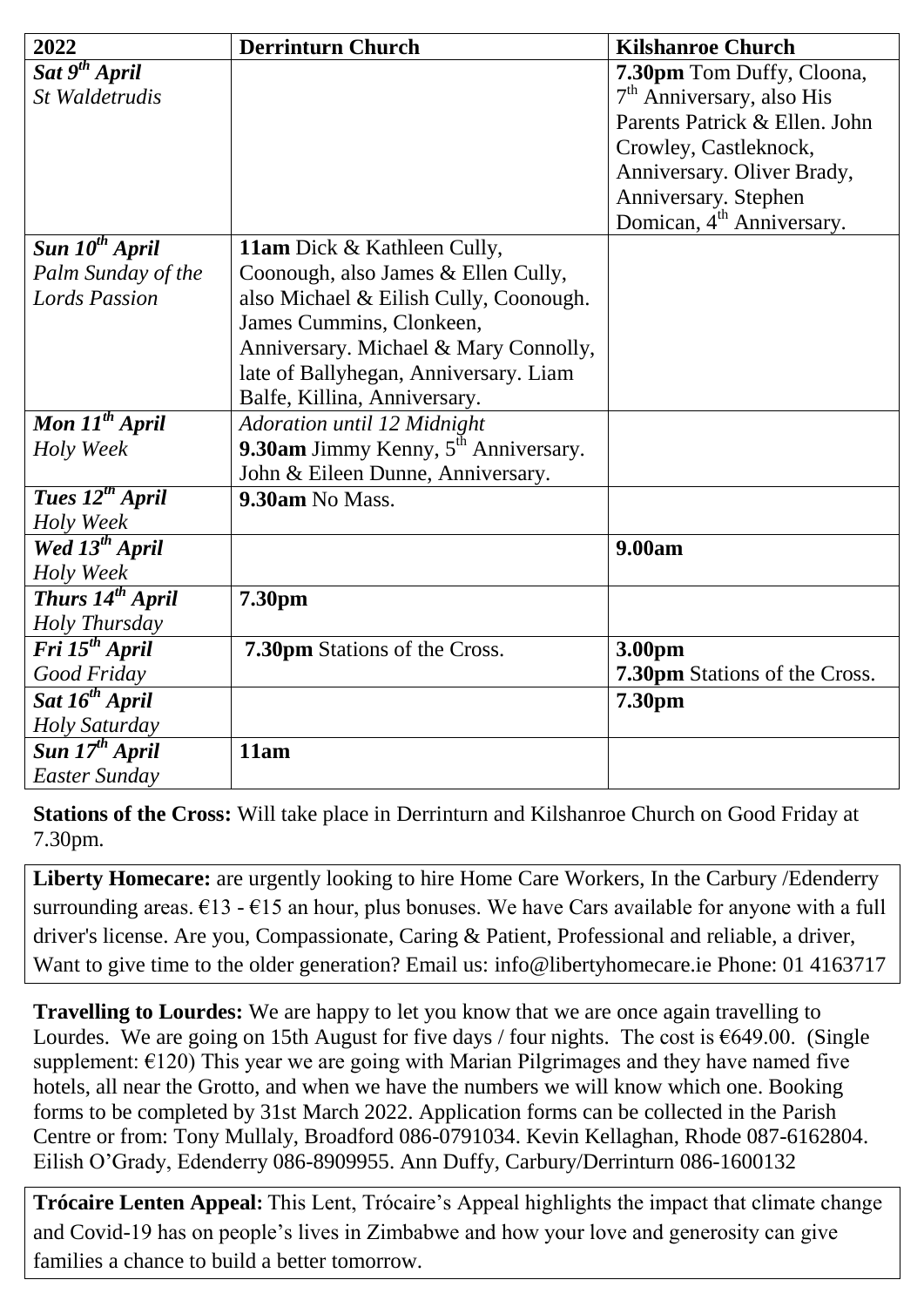| 2022                                   | <b>Derrinturn Church</b>                         | <b>Kilshanroe Church</b>              |
|----------------------------------------|--------------------------------------------------|---------------------------------------|
| $\overline{Sat}$ 9 <sup>th</sup> April |                                                  | 7.30pm Tom Duffy, Cloona,             |
| St Waldetrudis                         |                                                  | $7th$ Anniversary, also His           |
|                                        |                                                  | Parents Patrick & Ellen. John         |
|                                        |                                                  | Crowley, Castleknock,                 |
|                                        |                                                  | Anniversary. Oliver Brady,            |
|                                        |                                                  | Anniversary. Stephen                  |
|                                        |                                                  | Domican, 4 <sup>th</sup> Anniversary. |
| Sun 10 <sup>th</sup> April             | 11am Dick & Kathleen Cully,                      |                                       |
| Palm Sunday of the                     | Coonough, also James & Ellen Cully,              |                                       |
| <b>Lords Passion</b>                   | also Michael & Eilish Cully, Coonough.           |                                       |
|                                        | James Cummins, Clonkeen,                         |                                       |
|                                        | Anniversary. Michael & Mary Connolly,            |                                       |
|                                        | late of Ballyhegan, Anniversary. Liam            |                                       |
|                                        | Balfe, Killina, Anniversary.                     |                                       |
| Mon $11^{th}$ April                    | Adoration until 12 Midnight                      |                                       |
| Holy Week                              | 9.30am Jimmy Kenny, 5 <sup>th</sup> Anniversary. |                                       |
|                                        | John & Eileen Dunne, Anniversary.                |                                       |
| Tues 12 <sup>th</sup> April            | 9.30am No Mass.                                  |                                       |
| Holy Week                              |                                                  |                                       |
| Wed 13 <sup>th</sup> April             |                                                  | 9.00am                                |
| Holy Week                              |                                                  |                                       |
| Thurs 14 <sup>th</sup> April           | 7.30pm                                           |                                       |
| Holy Thursday                          |                                                  |                                       |
| Fri 15 <sup>th</sup> April             | <b>7.30pm</b> Stations of the Cross.             | 3.00pm                                |
| Good Friday                            |                                                  | <b>7.30pm</b> Stations of the Cross.  |
| Sat 16 <sup>th</sup> April             |                                                  | 7.30pm                                |
| Holy Saturday                          |                                                  |                                       |
| Sun 17 <sup>th</sup> April             | 11am                                             |                                       |
| <b>Easter Sunday</b>                   |                                                  |                                       |

**Stations of the Cross:** Will take place in Derrinturn and Kilshanroe Church on Good Friday at 7.30pm.

**Liberty Homecare:** are urgently looking to hire Home Care Workers, In the Carbury /Edenderry surrounding areas.  $\epsilon$ 13 -  $\epsilon$ 15 an hour, plus bonuses. We have Cars available for anyone with a full driver's license. Are you, Compassionate, Caring & Patient, Professional and reliable, a driver, Want to give time to the older generation? Email us: [info@libertyhomecare.ie](mailto:info@libertyhomecare.ie) Phone: 01 4163717

**Travelling to Lourdes:** We are happy to let you know that we are once again travelling to Lourdes. We are going on 15th August for five days / four nights. The cost is  $\epsilon$ 649.00. (Single supplement:  $\epsilon$ 120) This year we are going with Marian Pilgrimages and they have named five hotels, all near the Grotto, and when we have the numbers we will know which one. Booking forms to be completed by 31st March 2022. Application forms can be collected in the Parish Centre or from: Tony Mullaly, Broadford 086-0791034. Kevin Kellaghan, Rhode 087-6162804. Eilish O'Grady, Edenderry 086-8909955. Ann Duffy, Carbury/Derrinturn 086-1600132

**Trócaire Lenten Appeal:** This Lent, Trócaire's Appeal highlights the impact that climate change and Covid-19 has on people's lives in Zimbabwe and how your love and generosity can give families a chance to build a better tomorrow.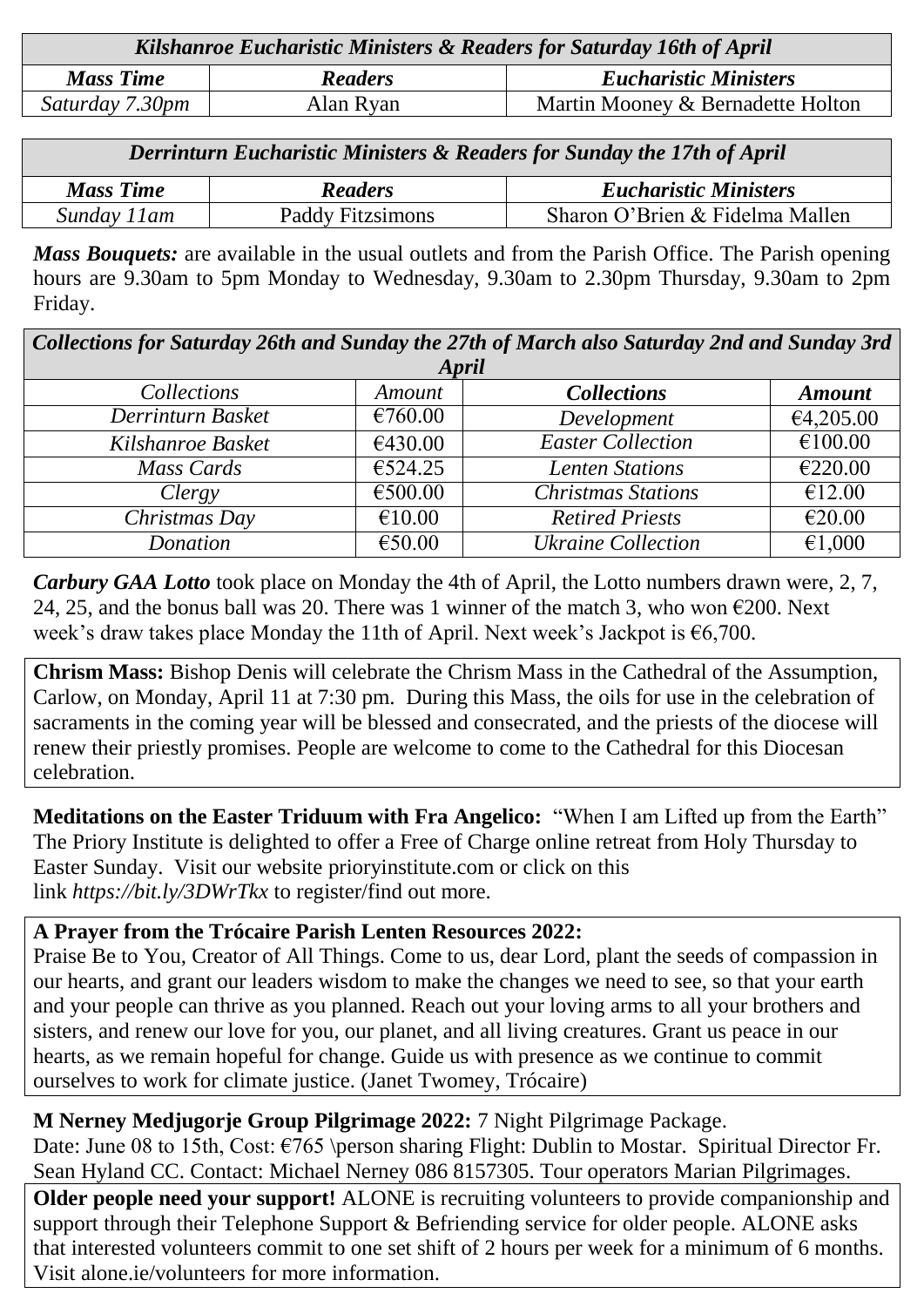| Kilshanroe Eucharistic Ministers & Readers for Saturday 16th of April |                |                                   |  |  |
|-----------------------------------------------------------------------|----------------|-----------------------------------|--|--|
| <b>Mass Time</b>                                                      | <b>Readers</b> | <b>Eucharistic Ministers</b>      |  |  |
| Saturday 7.30pm                                                       | Alan Ryan      | Martin Mooney & Bernadette Holton |  |  |

| Derrinturn Eucharistic Ministers & Readers for Sunday the 17th of April |                         |                                 |  |  |
|-------------------------------------------------------------------------|-------------------------|---------------------------------|--|--|
| <b>Mass Time</b>                                                        | <b>Readers</b>          | <b>Eucharistic Ministers</b>    |  |  |
| Sunday 11am                                                             | <b>Paddy Fitzsimons</b> | Sharon O'Brien & Fidelma Mallen |  |  |

*Mass Bouquets:* are available in the usual outlets and from the Parish Office. The Parish opening hours are 9.30am to 5pm Monday to Wednesday, 9.30am to 2.30pm Thursday, 9.30am to 2pm Friday.

| Collections for Saturday 26th and Sunday the 27th of March also Saturday 2nd and Sunday 3rd |         |                           |               |  |  |  |
|---------------------------------------------------------------------------------------------|---------|---------------------------|---------------|--|--|--|
| <b>April</b>                                                                                |         |                           |               |  |  |  |
| Collections                                                                                 | Amount  | <b>Collections</b>        | <b>Amount</b> |  |  |  |
| Derrinturn Basket                                                                           | €760.00 | Development               | €4,205.00     |  |  |  |
| Kilshanroe Basket                                                                           | €430.00 | <b>Easter Collection</b>  | €100.00       |  |  |  |
| Mass Cards                                                                                  | €524.25 | <b>Lenten Stations</b>    | €220.00       |  |  |  |
| Clergy                                                                                      | €500.00 | <b>Christmas Stations</b> | €12.00        |  |  |  |
| Christmas Day                                                                               | €10.00  | <b>Retired Priests</b>    | €20.00        |  |  |  |
| Donation                                                                                    | €50.00  | <b>Ukraine Collection</b> | €1,000        |  |  |  |

*Carbury GAA Lotto* took place on Monday the 4th of April, the Lotto numbers drawn were, 2, 7, 24, 25, and the bonus ball was 20. There was 1 winner of the match 3, who won  $\epsilon$ 200. Next week's draw takes place Monday the 11th of April. Next week's Jackpot is  $\epsilon$ 6,700.

**Chrism Mass:** Bishop Denis will celebrate the Chrism Mass in the Cathedral of the Assumption, Carlow, on Monday, April 11 at 7:30 pm. During this Mass, the oils for use in the celebration of sacraments in the coming year will be blessed and consecrated, and the priests of the diocese will renew their priestly promises. People are welcome to come to the Cathedral for this Diocesan celebration.

**Meditations on the Easter Triduum with Fra Angelico:** "When I am Lifted up from the Earth" The Priory Institute is delighted to offer a Free of Charge online retreat from Holy Thursday to Easter Sunday. Visit our website [prioryinstitute.com](https://prioryinstitute-dot-yamm-track.appspot.com/1EpNyH_mFQ1w9V8ay477sij7o0wr9ko2UAHS2UCF-QBDcIIjbfwG6jHZiSwXvjaCKf1XkXItoKSFmecyOGeQkQJcacL4xLkP4wA2P_Fbbs-eKhwMDmbD_8VT9O00zn9KZs-Ye1y4) or click on this link *[https://bit.ly/3DWrTkx](https://prioryinstitute-dot-yamm-track.appspot.com/1zZT2konMT7RtLc4zgtMvoBAplj8xSUnKovQuRYfl7aLeIIjbfwHbwUY2k-eywdH7RCb2bRsqCP9EQ6GwByHGZBToqGPs2JHSXhI1jEJiDspmC5w5e8F0PIlVhls44uuMpq-gBrctA8YXmQBRdmHZDbjW9_1QBUjQiYd8UCAmLsgpczSh_qFs3yCn8D7O)* to register/find out more.

### **A Prayer from the Trócaire Parish Lenten Resources 2022:**

Praise Be to You, Creator of All Things. Come to us, dear Lord, plant the seeds of compassion in our hearts, and grant our leaders wisdom to make the changes we need to see, so that your earth and your people can thrive as you planned. Reach out your loving arms to all your brothers and sisters, and renew our love for you, our planet, and all living creatures. Grant us peace in our hearts, as we remain hopeful for change. Guide us with presence as we continue to commit ourselves to work for climate justice. (Janet Twomey, Trócaire)

**M Nerney Medjugorje Group Pilgrimage 2022:** 7 Night Pilgrimage Package.

Date: June 08 to 15th, Cost:  $\epsilon$ 765 \person sharing Flight: Dublin to Mostar. Spiritual Director Fr. Sean Hyland CC. Contact: Michael Nerney 086 8157305. Tour operators Marian Pilgrimages.

**Older people need your support!** ALONE is recruiting volunteers to provide companionship and support through their Telephone Support & Befriending service for older people. ALONE asks that interested volunteers commit to one set shift of 2 hours per week for a minimum of 6 months. Visit [alone.ie/volunteers](http://alone.ie/volunteers) for more information.